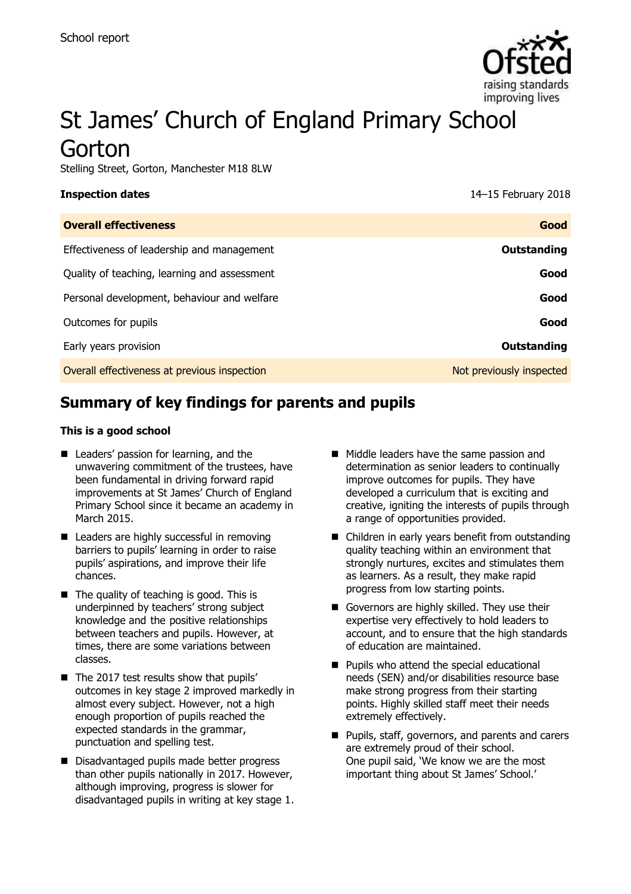

# St James' Church of England Primary School Gorton

Stelling Street, Gorton, Manchester M18 8LW

**Inspection dates** 14–15 February 2018

| <b>Overall effectiveness</b>                 | Good                     |
|----------------------------------------------|--------------------------|
| Effectiveness of leadership and management   | Outstanding              |
| Quality of teaching, learning and assessment | Good                     |
| Personal development, behaviour and welfare  | Good                     |
| Outcomes for pupils                          | Good                     |
| Early years provision                        | <b>Outstanding</b>       |
| Overall effectiveness at previous inspection | Not previously inspected |

# **Summary of key findings for parents and pupils**

### **This is a good school**

- Leaders' passion for learning, and the unwavering commitment of the trustees, have been fundamental in driving forward rapid improvements at St James' Church of England Primary School since it became an academy in March 2015.
- Leaders are highly successful in removing barriers to pupils' learning in order to raise pupils' aspirations, and improve their life chances.
- $\blacksquare$  The quality of teaching is good. This is underpinned by teachers' strong subject knowledge and the positive relationships between teachers and pupils. However, at times, there are some variations between classes.
- The 2017 test results show that pupils' outcomes in key stage 2 improved markedly in almost every subject. However, not a high enough proportion of pupils reached the expected standards in the grammar, punctuation and spelling test.
- Disadvantaged pupils made better progress than other pupils nationally in 2017. However, although improving, progress is slower for disadvantaged pupils in writing at key stage 1.
- **Middle leaders have the same passion and** determination as senior leaders to continually improve outcomes for pupils. They have developed a curriculum that is exciting and creative, igniting the interests of pupils through a range of opportunities provided.
- Children in early years benefit from outstanding quality teaching within an environment that strongly nurtures, excites and stimulates them as learners. As a result, they make rapid progress from low starting points.
- Governors are highly skilled. They use their expertise very effectively to hold leaders to account, and to ensure that the high standards of education are maintained.
- **Pupils who attend the special educational** needs (SEN) and/or disabilities resource base make strong progress from their starting points. Highly skilled staff meet their needs extremely effectively.
- **Pupils, staff, governors, and parents and carers** are extremely proud of their school. One pupil said, 'We know we are the most important thing about St James' School.'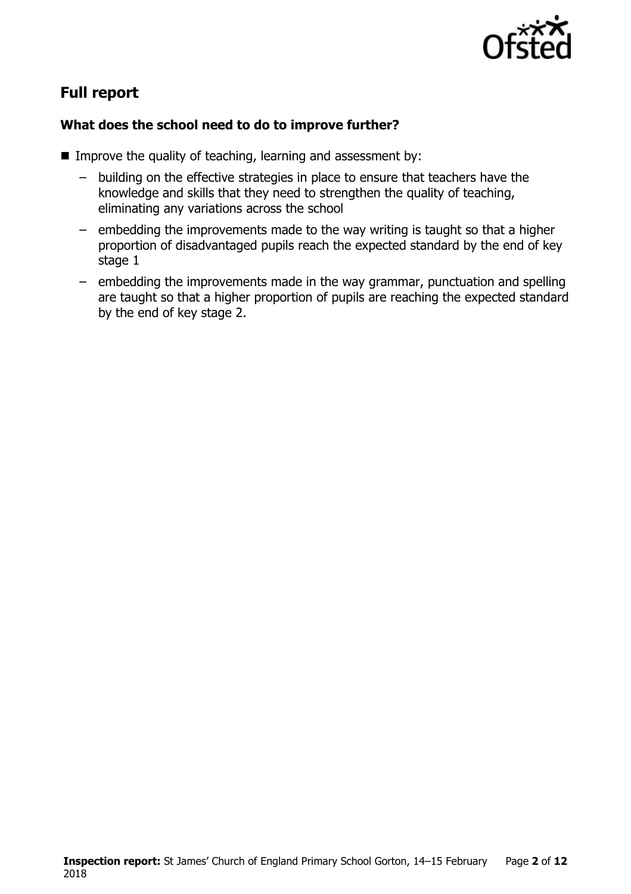

# **Full report**

### **What does the school need to do to improve further?**

- Improve the quality of teaching, learning and assessment by:
	- building on the effective strategies in place to ensure that teachers have the knowledge and skills that they need to strengthen the quality of teaching, eliminating any variations across the school
	- embedding the improvements made to the way writing is taught so that a higher proportion of disadvantaged pupils reach the expected standard by the end of key stage 1
	- embedding the improvements made in the way grammar, punctuation and spelling are taught so that a higher proportion of pupils are reaching the expected standard by the end of key stage 2.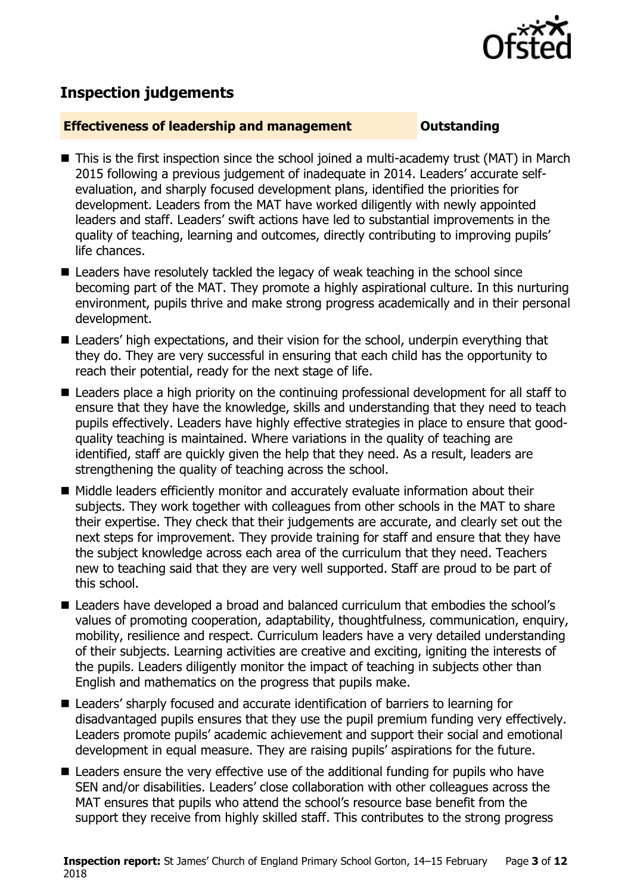

# **Inspection judgements**

### **Effectiveness of leadership and management Constanding**

- This is the first inspection since the school joined a multi-academy trust (MAT) in March 2015 following a previous judgement of inadequate in 2014. Leaders' accurate selfevaluation, and sharply focused development plans, identified the priorities for development. Leaders from the MAT have worked diligently with newly appointed leaders and staff. Leaders' swift actions have led to substantial improvements in the quality of teaching, learning and outcomes, directly contributing to improving pupils' life chances.
- Leaders have resolutely tackled the legacy of weak teaching in the school since becoming part of the MAT. They promote a highly aspirational culture. In this nurturing environment, pupils thrive and make strong progress academically and in their personal development.
- Leaders' high expectations, and their vision for the school, underpin everything that they do. They are very successful in ensuring that each child has the opportunity to reach their potential, ready for the next stage of life.
- Leaders place a high priority on the continuing professional development for all staff to ensure that they have the knowledge, skills and understanding that they need to teach pupils effectively. Leaders have highly effective strategies in place to ensure that goodquality teaching is maintained. Where variations in the quality of teaching are identified, staff are quickly given the help that they need. As a result, leaders are strengthening the quality of teaching across the school.
- Middle leaders efficiently monitor and accurately evaluate information about their subjects. They work together with colleagues from other schools in the MAT to share their expertise. They check that their judgements are accurate, and clearly set out the next steps for improvement. They provide training for staff and ensure that they have the subject knowledge across each area of the curriculum that they need. Teachers new to teaching said that they are very well supported. Staff are proud to be part of this school.
- Leaders have developed a broad and balanced curriculum that embodies the school's values of promoting cooperation, adaptability, thoughtfulness, communication, enquiry, mobility, resilience and respect. Curriculum leaders have a very detailed understanding of their subjects. Learning activities are creative and exciting, igniting the interests of the pupils. Leaders diligently monitor the impact of teaching in subjects other than English and mathematics on the progress that pupils make.
- Leaders' sharply focused and accurate identification of barriers to learning for disadvantaged pupils ensures that they use the pupil premium funding very effectively. Leaders promote pupils' academic achievement and support their social and emotional development in equal measure. They are raising pupils' aspirations for the future.
- Leaders ensure the very effective use of the additional funding for pupils who have SEN and/or disabilities. Leaders' close collaboration with other colleagues across the MAT ensures that pupils who attend the school's resource base benefit from the support they receive from highly skilled staff. This contributes to the strong progress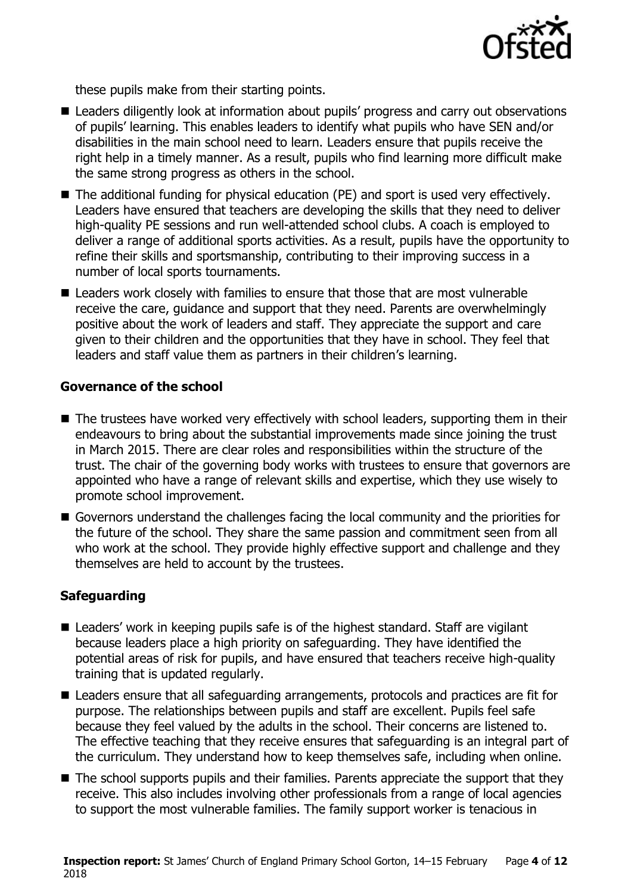

these pupils make from their starting points.

- Leaders diligently look at information about pupils' progress and carry out observations of pupils' learning. This enables leaders to identify what pupils who have SEN and/or disabilities in the main school need to learn. Leaders ensure that pupils receive the right help in a timely manner. As a result, pupils who find learning more difficult make the same strong progress as others in the school.
- The additional funding for physical education (PE) and sport is used very effectively. Leaders have ensured that teachers are developing the skills that they need to deliver high-quality PE sessions and run well-attended school clubs. A coach is employed to deliver a range of additional sports activities. As a result, pupils have the opportunity to refine their skills and sportsmanship, contributing to their improving success in a number of local sports tournaments.
- Leaders work closely with families to ensure that those that are most vulnerable receive the care, guidance and support that they need. Parents are overwhelmingly positive about the work of leaders and staff. They appreciate the support and care given to their children and the opportunities that they have in school. They feel that leaders and staff value them as partners in their children's learning.

### **Governance of the school**

- The trustees have worked very effectively with school leaders, supporting them in their endeavours to bring about the substantial improvements made since joining the trust in March 2015. There are clear roles and responsibilities within the structure of the trust. The chair of the governing body works with trustees to ensure that governors are appointed who have a range of relevant skills and expertise, which they use wisely to promote school improvement.
- Governors understand the challenges facing the local community and the priorities for the future of the school. They share the same passion and commitment seen from all who work at the school. They provide highly effective support and challenge and they themselves are held to account by the trustees.

### **Safeguarding**

- Leaders' work in keeping pupils safe is of the highest standard. Staff are vigilant because leaders place a high priority on safeguarding. They have identified the potential areas of risk for pupils, and have ensured that teachers receive high-quality training that is updated regularly.
- Leaders ensure that all safeguarding arrangements, protocols and practices are fit for purpose. The relationships between pupils and staff are excellent. Pupils feel safe because they feel valued by the adults in the school. Their concerns are listened to. The effective teaching that they receive ensures that safeguarding is an integral part of the curriculum. They understand how to keep themselves safe, including when online.
- The school supports pupils and their families. Parents appreciate the support that they receive. This also includes involving other professionals from a range of local agencies to support the most vulnerable families. The family support worker is tenacious in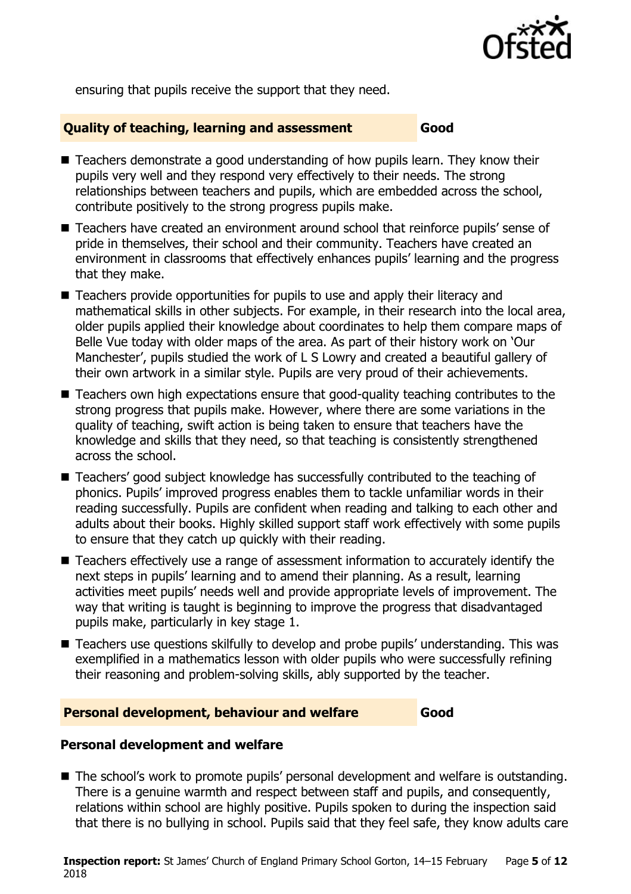

ensuring that pupils receive the support that they need.

### **Quality of teaching, learning and assessment Good**

- Teachers demonstrate a good understanding of how pupils learn. They know their pupils very well and they respond very effectively to their needs. The strong relationships between teachers and pupils, which are embedded across the school, contribute positively to the strong progress pupils make.
- Teachers have created an environment around school that reinforce pupils' sense of pride in themselves, their school and their community. Teachers have created an environment in classrooms that effectively enhances pupils' learning and the progress that they make.
- Teachers provide opportunities for pupils to use and apply their literacy and mathematical skills in other subjects. For example, in their research into the local area, older pupils applied their knowledge about coordinates to help them compare maps of Belle Vue today with older maps of the area. As part of their history work on 'Our Manchester', pupils studied the work of L S Lowry and created a beautiful gallery of their own artwork in a similar style. Pupils are very proud of their achievements.
- Teachers own high expectations ensure that good-quality teaching contributes to the strong progress that pupils make. However, where there are some variations in the quality of teaching, swift action is being taken to ensure that teachers have the knowledge and skills that they need, so that teaching is consistently strengthened across the school.
- Teachers' good subject knowledge has successfully contributed to the teaching of phonics. Pupils' improved progress enables them to tackle unfamiliar words in their reading successfully. Pupils are confident when reading and talking to each other and adults about their books. Highly skilled support staff work effectively with some pupils to ensure that they catch up quickly with their reading.
- Teachers effectively use a range of assessment information to accurately identify the next steps in pupils' learning and to amend their planning. As a result, learning activities meet pupils' needs well and provide appropriate levels of improvement. The way that writing is taught is beginning to improve the progress that disadvantaged pupils make, particularly in key stage 1.
- Teachers use questions skilfully to develop and probe pupils' understanding. This was exemplified in a mathematics lesson with older pupils who were successfully refining their reasoning and problem-solving skills, ably supported by the teacher.

### **Personal development, behaviour and welfare Good**

### **Personal development and welfare**

■ The school's work to promote pupils' personal development and welfare is outstanding. There is a genuine warmth and respect between staff and pupils, and consequently, relations within school are highly positive. Pupils spoken to during the inspection said that there is no bullying in school. Pupils said that they feel safe, they know adults care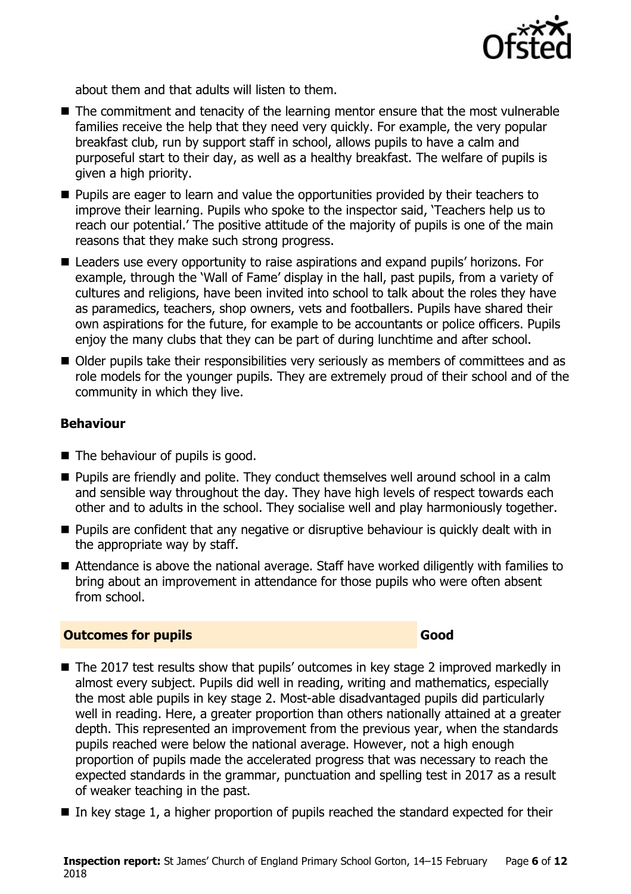

about them and that adults will listen to them.

- The commitment and tenacity of the learning mentor ensure that the most vulnerable families receive the help that they need very quickly. For example, the very popular breakfast club, run by support staff in school, allows pupils to have a calm and purposeful start to their day, as well as a healthy breakfast. The welfare of pupils is given a high priority.
- **Pupils are eager to learn and value the opportunities provided by their teachers to** improve their learning. Pupils who spoke to the inspector said, 'Teachers help us to reach our potential.' The positive attitude of the majority of pupils is one of the main reasons that they make such strong progress.
- Leaders use every opportunity to raise aspirations and expand pupils' horizons. For example, through the 'Wall of Fame' display in the hall, past pupils, from a variety of cultures and religions, have been invited into school to talk about the roles they have as paramedics, teachers, shop owners, vets and footballers. Pupils have shared their own aspirations for the future, for example to be accountants or police officers. Pupils enjoy the many clubs that they can be part of during lunchtime and after school.
- Older pupils take their responsibilities very seriously as members of committees and as role models for the younger pupils. They are extremely proud of their school and of the community in which they live.

### **Behaviour**

- The behaviour of pupils is good.
- **Pupils are friendly and polite. They conduct themselves well around school in a calm** and sensible way throughout the day. They have high levels of respect towards each other and to adults in the school. They socialise well and play harmoniously together.
- **Pupils are confident that any negative or disruptive behaviour is quickly dealt with in** the appropriate way by staff.
- Attendance is above the national average. Staff have worked diligently with families to bring about an improvement in attendance for those pupils who were often absent from school.

### **Outcomes for pupils Good**

- The 2017 test results show that pupils' outcomes in key stage 2 improved markedly in almost every subject. Pupils did well in reading, writing and mathematics, especially the most able pupils in key stage 2. Most-able disadvantaged pupils did particularly well in reading. Here, a greater proportion than others nationally attained at a greater depth. This represented an improvement from the previous year, when the standards pupils reached were below the national average. However, not a high enough proportion of pupils made the accelerated progress that was necessary to reach the expected standards in the grammar, punctuation and spelling test in 2017 as a result of weaker teaching in the past.
- In key stage 1, a higher proportion of pupils reached the standard expected for their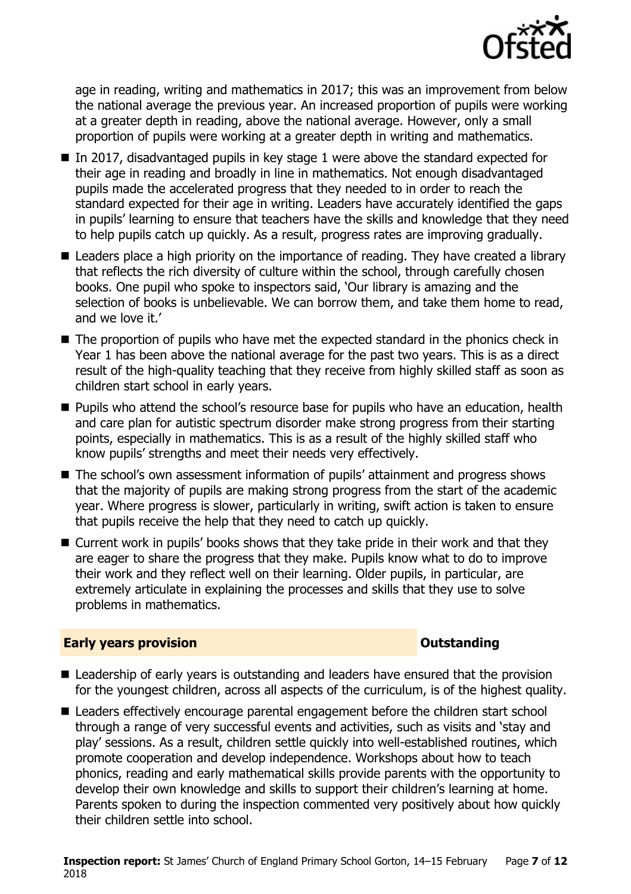

age in reading, writing and mathematics in 2017; this was an improvement from below the national average the previous year. An increased proportion of pupils were working at a greater depth in reading, above the national average. However, only a small proportion of pupils were working at a greater depth in writing and mathematics.

- In 2017, disadvantaged pupils in key stage 1 were above the standard expected for their age in reading and broadly in line in mathematics. Not enough disadvantaged pupils made the accelerated progress that they needed to in order to reach the standard expected for their age in writing. Leaders have accurately identified the gaps in pupils' learning to ensure that teachers have the skills and knowledge that they need to help pupils catch up quickly. As a result, progress rates are improving gradually.
- Leaders place a high priority on the importance of reading. They have created a library that reflects the rich diversity of culture within the school, through carefully chosen books. One pupil who spoke to inspectors said, 'Our library is amazing and the selection of books is unbelievable. We can borrow them, and take them home to read, and we love it.'
- The proportion of pupils who have met the expected standard in the phonics check in Year 1 has been above the national average for the past two years. This is as a direct result of the high-quality teaching that they receive from highly skilled staff as soon as children start school in early years.
- **Pupils who attend the school's resource base for pupils who have an education, health** and care plan for autistic spectrum disorder make strong progress from their starting points, especially in mathematics. This is as a result of the highly skilled staff who know pupils' strengths and meet their needs very effectively.
- The school's own assessment information of pupils' attainment and progress shows that the majority of pupils are making strong progress from the start of the academic year. Where progress is slower, particularly in writing, swift action is taken to ensure that pupils receive the help that they need to catch up quickly.
- Current work in pupils' books shows that they take pride in their work and that they are eager to share the progress that they make. Pupils know what to do to improve their work and they reflect well on their learning. Older pupils, in particular, are extremely articulate in explaining the processes and skills that they use to solve problems in mathematics.

### **Early years provision CONSTANDING TO A RESEARCH CONSTANDING TO A RESEARCH CONSTANDING TO A RESEARCH CONSTANDING TO A RESEARCH CONSTANDING TO A RESEARCH CONSTANDING TO A RESEARCH CONSTANDING TO A RESEARCH CONSTANDING TO**

- Leadership of early years is outstanding and leaders have ensured that the provision for the youngest children, across all aspects of the curriculum, is of the highest quality.
- Leaders effectively encourage parental engagement before the children start school through a range of very successful events and activities, such as visits and 'stay and play' sessions. As a result, children settle quickly into well-established routines, which promote cooperation and develop independence. Workshops about how to teach phonics, reading and early mathematical skills provide parents with the opportunity to develop their own knowledge and skills to support their children's learning at home. Parents spoken to during the inspection commented very positively about how quickly their children settle into school.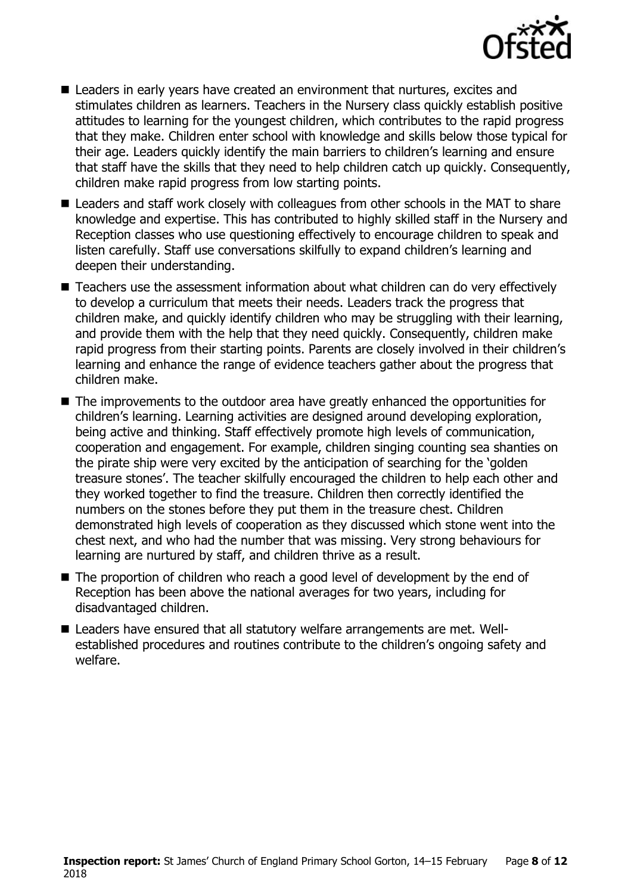

- Leaders in early years have created an environment that nurtures, excites and stimulates children as learners. Teachers in the Nursery class quickly establish positive attitudes to learning for the youngest children, which contributes to the rapid progress that they make. Children enter school with knowledge and skills below those typical for their age. Leaders quickly identify the main barriers to children's learning and ensure that staff have the skills that they need to help children catch up quickly. Consequently, children make rapid progress from low starting points.
- Leaders and staff work closely with colleagues from other schools in the MAT to share knowledge and expertise. This has contributed to highly skilled staff in the Nursery and Reception classes who use questioning effectively to encourage children to speak and listen carefully. Staff use conversations skilfully to expand children's learning and deepen their understanding.
- Teachers use the assessment information about what children can do very effectively to develop a curriculum that meets their needs. Leaders track the progress that children make, and quickly identify children who may be struggling with their learning, and provide them with the help that they need quickly. Consequently, children make rapid progress from their starting points. Parents are closely involved in their children's learning and enhance the range of evidence teachers gather about the progress that children make.
- The improvements to the outdoor area have greatly enhanced the opportunities for children's learning. Learning activities are designed around developing exploration, being active and thinking. Staff effectively promote high levels of communication, cooperation and engagement. For example, children singing counting sea shanties on the pirate ship were very excited by the anticipation of searching for the 'golden treasure stones'. The teacher skilfully encouraged the children to help each other and they worked together to find the treasure. Children then correctly identified the numbers on the stones before they put them in the treasure chest. Children demonstrated high levels of cooperation as they discussed which stone went into the chest next, and who had the number that was missing. Very strong behaviours for learning are nurtured by staff, and children thrive as a result.
- The proportion of children who reach a good level of development by the end of Reception has been above the national averages for two years, including for disadvantaged children.
- Leaders have ensured that all statutory welfare arrangements are met. Wellestablished procedures and routines contribute to the children's ongoing safety and welfare.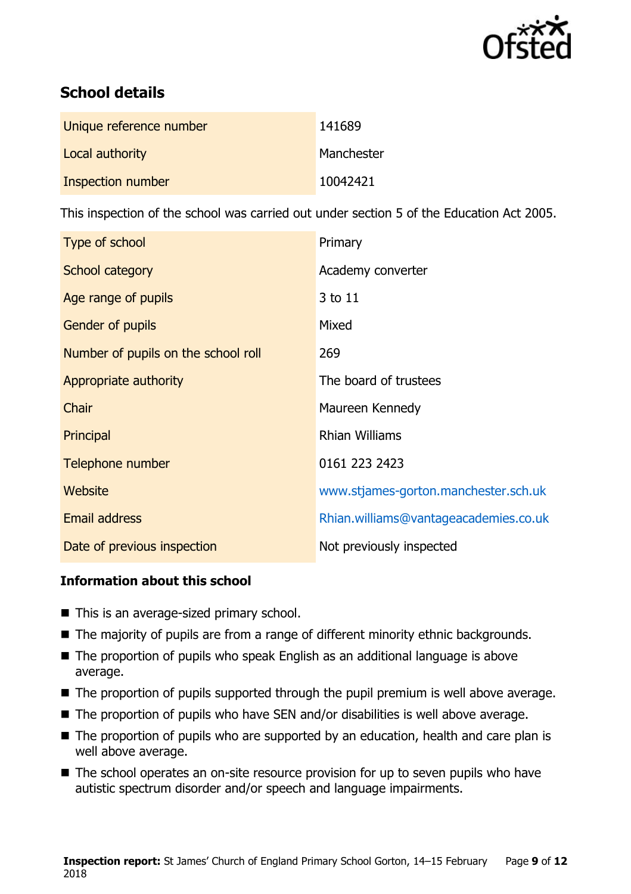

# **School details**

| Unique reference number | 141689     |
|-------------------------|------------|
| Local authority         | Manchester |
| Inspection number       | 10042421   |

This inspection of the school was carried out under section 5 of the Education Act 2005.

| Type of school                      | Primary                               |
|-------------------------------------|---------------------------------------|
| School category                     | Academy converter                     |
| Age range of pupils                 | 3 to 11                               |
| Gender of pupils                    | Mixed                                 |
| Number of pupils on the school roll | 269                                   |
| Appropriate authority               | The board of trustees                 |
| Chair                               | Maureen Kennedy                       |
| Principal                           | <b>Rhian Williams</b>                 |
| Telephone number                    | 0161 223 2423                         |
| Website                             | www.stjames-gorton.manchester.sch.uk  |
| <b>Email address</b>                | Rhian.williams@vantageacademies.co.uk |
| Date of previous inspection         | Not previously inspected              |

### **Information about this school**

- This is an average-sized primary school.
- The majority of pupils are from a range of different minority ethnic backgrounds.
- The proportion of pupils who speak English as an additional language is above average.
- The proportion of pupils supported through the pupil premium is well above average.
- The proportion of pupils who have SEN and/or disabilities is well above average.
- The proportion of pupils who are supported by an education, health and care plan is well above average.
- The school operates an on-site resource provision for up to seven pupils who have autistic spectrum disorder and/or speech and language impairments.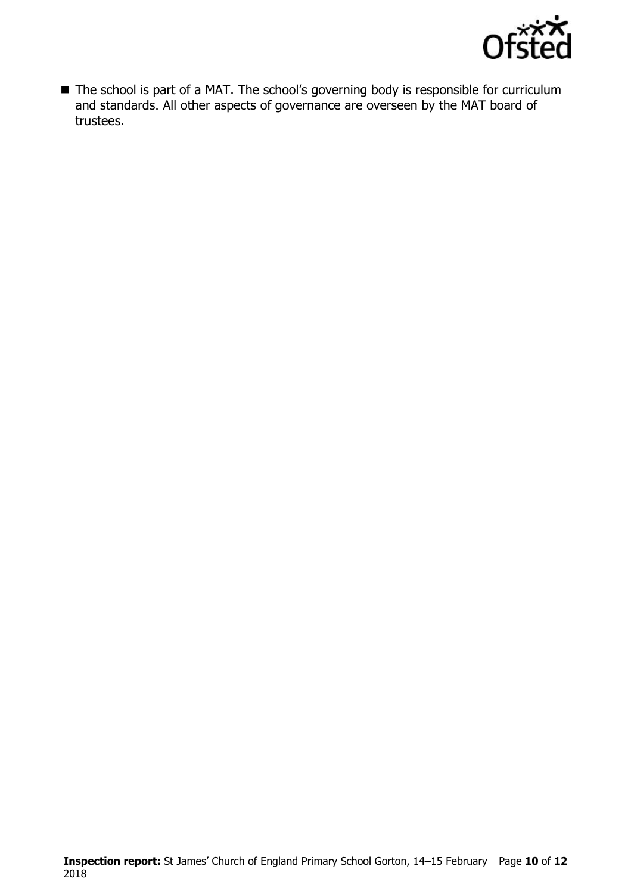

■ The school is part of a MAT. The school's governing body is responsible for curriculum and standards. All other aspects of governance are overseen by the MAT board of trustees.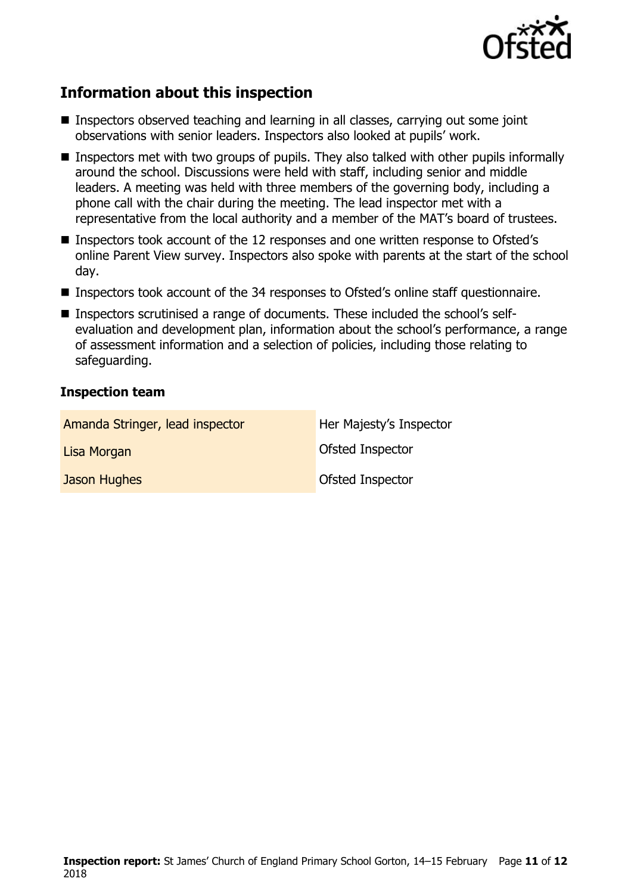

# **Information about this inspection**

- Inspectors observed teaching and learning in all classes, carrying out some joint observations with senior leaders. Inspectors also looked at pupils' work.
- **If Inspectors met with two groups of pupils. They also talked with other pupils informally** around the school. Discussions were held with staff, including senior and middle leaders. A meeting was held with three members of the governing body, including a phone call with the chair during the meeting. The lead inspector met with a representative from the local authority and a member of the MAT's board of trustees.
- Inspectors took account of the 12 responses and one written response to Ofsted's online Parent View survey. Inspectors also spoke with parents at the start of the school day.
- Inspectors took account of the 34 responses to Ofsted's online staff questionnaire.
- Inspectors scrutinised a range of documents. These included the school's selfevaluation and development plan, information about the school's performance, a range of assessment information and a selection of policies, including those relating to safeguarding.

### **Inspection team**

| Amanda Stringer, lead inspector | Her Majesty's Inspector |
|---------------------------------|-------------------------|
| Lisa Morgan                     | Ofsted Inspector        |
| Jason Hughes                    | Ofsted Inspector        |